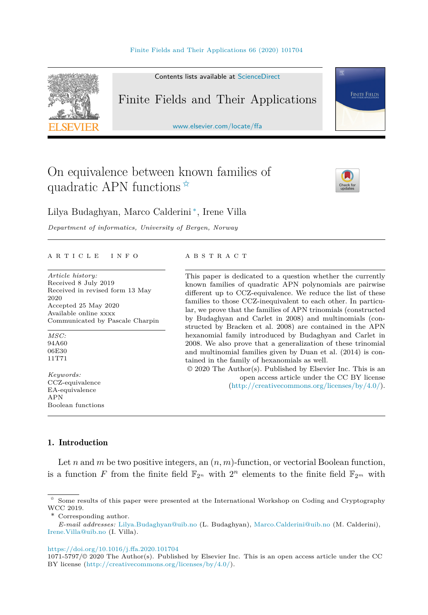

Contents lists available at [ScienceDirect](http://www.ScienceDirect.com/)

# Finite Fields and Their Applications

[www.elsevier.com/locate/ffa](http://www.elsevier.com/locate/ffa)

# On equivalence between known families of quadratic APN functions  $\hat{z}$



**FINITE FIELDS** 

Lilya Budaghyan, Marco Calderini ∗, Irene Villa

*Department of informatics, University of Bergen, Norway*

#### A R T I C L E I N F O A B S T R A C T

*Article history:* Received 8 July 2019 Received in revised form 13 May 2020 Accepted 25 May 2020 Available online xxxx Communicated by Pascale Charpin

*MSC:* 94A60 06E30 11T71

*Keywords:* CCZ-equivalence EA-equivalence APN Boolean functions

This paper is dedicated to a question whether the currently known families of quadratic APN polynomials are pairwise different up to CCZ-equivalence. We reduce the list of these families to those CCZ-inequivalent to each other. In particular, we prove that the families of APN trinomials (constructed by Budaghyan and Carlet in 2008) and multinomials (constructed by Bracken et al. 2008) are contained in the APN hexanomial family introduced by Budaghyan and Carlet in 2008. We also prove that a generalization of these trinomial and multinomial families given by Duan et al. (2014) is contained in the family of hexanomials as well.

© 2020 The Author(s). Published by Elsevier Inc. This is an open access article under the CC BY license (<http://creativecommons.org/licenses/by/4.0/>).

## 1. Introduction

Let *n* and *m* be two positive integers, an  $(n, m)$ -function, or vectorial Boolean function, is a function *F* from the finite field  $\mathbb{F}_{2^n}$  with  $2^n$  elements to the finite field  $\mathbb{F}_{2^m}$  with

\* Corresponding author.

*E-mail addresses:* [Lilya.Budaghyan@uib.no](mailto:Lilya.Budaghyan@uib.no) (L. Budaghyan), [Marco.Calderini@uib.no](mailto:Marco.Calderini@uib.no) (M. Calderini), [Irene.Villa@uib.no](mailto:Irene.Villa@uib.no) (I. Villa).

<https://doi.org/10.1016/j.ffa.2020.101704>

1071-5797/© 2020 The Author(s). Published by Elsevier Inc. This is an open access article under the CC BY license [\(http://creativecommons.org/licenses/by/4.0/](http://creativecommons.org/licenses/by/4.0/)).

<sup>✩</sup> Some results of this paper were presented at the International Workshop on Coding and Cryptography WCC 2019.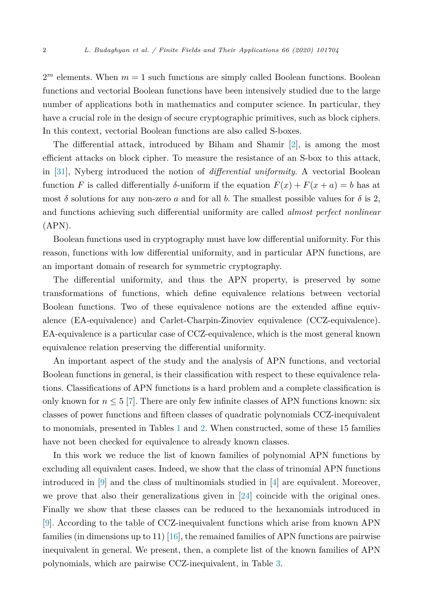$2<sup>m</sup>$  elements. When  $m = 1$  such functions are simply called Boolean functions. Boolean functions and vectorial Boolean functions have been intensively studied due to the large number of applications both in mathematics and computer science. In particular, they have a crucial role in the design of secure cryptographic primitives, such as block ciphers. In this context, vectorial Boolean functions are also called S-boxes.

The differential attack, introduced by Biham and Shamir [\[2](#page-19-0)], is among the most efficient attacks on block cipher. To measure the resistance of an S-box to this attack, in [[31\]](#page-20-0), Nyberg introduced the notion of *differential uniformity*. A vectorial Boolean function *F* is called differentially *δ*-uniform if the equation  $F(x) + F(x + a) = b$  has at most  $\delta$  solutions for any non-zero *a* and for all *b*. The smallest possible values for  $\delta$  is 2, and functions achieving such differential uniformity are called *almost perfect nonlinear* (APN).

Boolean functions used in cryptography must have low differential uniformity. For this reason, functions with low differential uniformity, and in particular APN functions, are an important domain of research for symmetric cryptography.

The differential uniformity, and thus the APN property, is preserved by some transformations of functions, which define equivalence relations between vectorial Boolean functions. Two of these equivalence notions are the extended affine equivalence (EA-equivalence) and Carlet-Charpin-Zinoviev equivalence (CCZ-equivalence). EA-equivalence is a particular case of CCZ-equivalence, which is the most general known equivalence relation preserving the differential uniformity.

An important aspect of the study and the analysis of APN functions, and vectorial Boolean functions in general, is their classification with respect to these equivalence relations. Classifications of APN functions is a hard problem and a complete classification is only known for  $n \leq 5$  [\[7](#page-19-0)]. There are only few infinite classes of APN functions known: six classes of power functions and fifteen classes of quadratic polynomials CCZ-inequivalent to monomials, presented in Tables [1](#page-3-0) and [2.](#page-4-0) When constructed, some of these 15 families have not been checked for equivalence to already known classes.

In this work we reduce the list of known families of polynomial APN functions by excluding all equivalent cases. Indeed, we show that the class of trinomial APN functions introduced in [\[9](#page-19-0)] and the class of multinomials studied in [[4\]](#page-19-0) are equivalent. Moreover, we prove that also their generalizations given in [\[24\]](#page-19-0) coincide with the original ones. Finally we show that these classes can be reduced to the hexanomials introduced in [\[9\]](#page-19-0). According to the table of CCZ-inequivalent functions which arise from known APN families (in dimensions up to 11) [\[16](#page-19-0)], the remained families of APN functions are pairwise inequivalent in general. We present, then, a complete list of the known families of APN polynomials, which are pairwise CCZ-inequivalent, in Table [3](#page-17-0).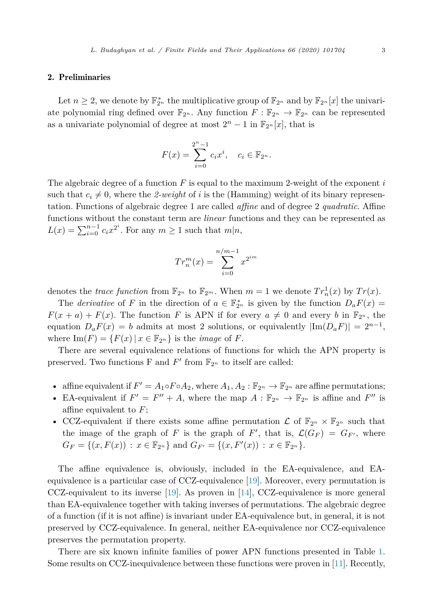#### 2. Preliminaries

Let  $n \geq 2$ , we denote by  $\mathbb{F}_{2^n}^*$  the multiplicative group of  $\mathbb{F}_{2^n}$  and by  $\mathbb{F}_{2^n}[x]$  the univariate polynomial ring defined over  $\mathbb{F}_{2^n}$ . Any function  $F: \mathbb{F}_{2^n} \to \mathbb{F}_{2^n}$  can be represented as a univariate polynomial of degree at most  $2^{n} - 1$  in  $\mathbb{F}_{2^{n}}[x]$ , that is

$$
F(x) = \sum_{i=0}^{2^{n}-1} c_{i}x^{i}, \quad c_{i} \in \mathbb{F}_{2^{n}}.
$$

The algebraic degree of a function *F* is equal to the maximum 2-weight of the exponent *i* such that  $c_i \neq 0$ , where the 2-weight of *i* is the (Hamming) weight of its binary representation. Functions of algebraic degree 1 are called *affine* and of degree 2 *quadratic*. Affine functions without the constant term are *linear* functions and they can be represented as  $L(x) = \sum_{i=0}^{n-1} c_i x^{2^i}$ . For any  $m \ge 1$  such that  $m|n$ ,

$$
Tr_n^m(x) = \sum_{i=0}^{n/m-1} x^{2^{im}}
$$

denotes the *trace function* from  $\mathbb{F}_{2^n}$  to  $\mathbb{F}_{2^m}$ . When  $m = 1$  we denote  $Tr_n^1(x)$  by  $Tr(x)$ .

The *derivative* of *F* in the direction of  $a \in \mathbb{F}_{2^n}^*$  is given by the function  $D_a F(x) =$  $F(x + a) + F(x)$ . The function *F* is APN if for every  $a \neq 0$  and every *b* in  $\mathbb{F}_{2^n}$ , the equation  $D_aF(x) = b$  admits at most 2 solutions, or equivalently  $|\text{Im}(D_aF)| = 2^{n-1}$ , where  $\text{Im}(F) = \{F(x) | x \in \mathbb{F}_{2^n}\}\$ is the *image* of *F*.

There are several equivalence relations of functions for which the APN property is preserved. Two functions F and  $F'$  from  $\mathbb{F}_{2^n}$  to itself are called:

- affine equivalent if  $F' = A_1 \circ F \circ A_2$ , where  $A_1, A_2 : \mathbb{F}_{2^n} \to \mathbb{F}_{2^n}$  are affine permutations;
- EA-equivalent if  $F' = F'' + A$ , where the map  $A : \mathbb{F}_{2^n} \to \mathbb{F}_{2^n}$  is affine and  $F''$  is affine equivalent to *F*;
- CCZ-equivalent if there exists some affine permutation  $\mathcal L$  of  $\mathbb{F}_{2^n} \times \mathbb{F}_{2^n}$  such that the image of the graph of *F* is the graph of *F'*, that is,  $\mathcal{L}(G_F) = G_{F'}$ , where  $G_F = \{(x, F(x)) : x \in \mathbb{F}_{2^n}\}\$ and  $G_{F'} = \{(x, F'(x)) : x \in \mathbb{F}_{2^n}\}.$

The affine equivalence is, obviously, included in the EA-equivalence, and EAequivalence is a particular case of CCZ-equivalence [[19\]](#page-19-0). Moreover, every permutation is CCZ-equivalent to its inverse [\[19](#page-19-0)]. As proven in [[14\]](#page-19-0), CCZ-equivalence is more general than EA-equivalence together with taking inverses of permutations. The algebraic degree of a function (if it is not affine) is invariant under EA-equivalence but, in general, it is not preserved by CCZ-equivalence. In general, neither EA-equivalence nor CCZ-equivalence preserves the permutation property.

There are six known infinite families of power APN functions presented in Table [1](#page-3-0). Some results on CCZ-inequivalence between these functions were proven in [\[11](#page-19-0)]. Recently,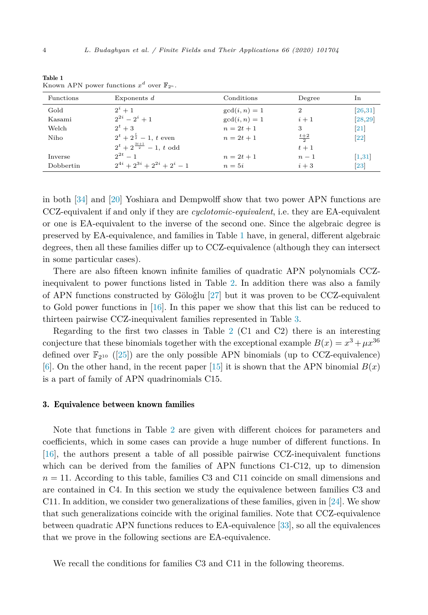| Functions | Exponents $d$                          | Conditions      | Degree         | In                |
|-----------|----------------------------------------|-----------------|----------------|-------------------|
| Gold      | $2^i + 1$                              | $gcd(i, n) = 1$ | $\overline{2}$ | [26, 31]          |
| Kasami    | $2^{2i} - 2^i + 1$                     | $gcd(i, n) = 1$ | $i+1$          | [28, 29]          |
| Welch     | $2^t+3$                                | $n = 2t + 1$    | 3              | $\left[21\right]$ |
| Niho      | $2^t + 2^{\frac{t}{2}} - 1$ , t even   | $n = 2t + 1$    | $rac{t+2}{2}$  | $[22]$            |
|           | $2^t + 2^{\frac{3t+1}{2}} - 1$ , t odd |                 | $t+1$          |                   |
| Inverse   | $2^{2t}-1$                             | $n = 2t + 1$    | $n-1$          | [1,31]            |
| Dobbertin | $2^{4i} + 2^{3i} + 2^{2i} + 2^i - 1$   | $n=5i$          | $i+3$          | $[23]$            |

<span id="page-3-0"></span>Table 1 Known APN power functions  $x^d$  over  $\mathbb{F}_{2^n}$ .

in both [\[34](#page-20-0)] and [\[20](#page-19-0)] Yoshiara and Dempwolff show that two power APN functions are CCZ-equivalent if and only if they are *cyclotomic-equivalent*, i.e. they are EA-equivalent or one is EA-equivalent to the inverse of the second one. Since the algebraic degree is preserved by EA-equivalence, and families in Table 1 have, in general, different algebraic degrees, then all these families differ up to CCZ-equivalence (although they can intersect in some particular cases).

There are also fifteen known infinite families of quadratic APN polynomials CCZinequivalent to power functions listed in Table [2](#page-4-0). In addition there was also a family of APN functions constructed by Göloğlu  $[27]$  $[27]$  but it was proven to be CCZ-equivalent to Gold power functions in [[16\]](#page-19-0). In this paper we show that this list can be reduced to thirteen pairwise CCZ-inequivalent families represented in Table [3](#page-17-0).

Regarding to the first two classes in Table [2](#page-4-0) (C1 and C2) there is an interesting conjecture that these binomials together with the exceptional example  $B(x) = x^3 + \mu x^{36}$ defined over  $\mathbb{F}_{210}$  ([\[25](#page-19-0)]) are the only possible APN binomials (up to CCZ-equivalence) [\[6\]](#page-19-0). On the other hand, in the recent paper [\[15](#page-19-0)] it is shown that the APN binomial  $B(x)$ is a part of family of APN quadrinomials C15.

#### 3. Equivalence between known families

Note that functions in Table [2](#page-4-0) are given with different choices for parameters and coefficients, which in some cases can provide a huge number of different functions. In [\[16\]](#page-19-0), the authors present a table of all possible pairwise CCZ-inequivalent functions which can be derived from the families of APN functions C1-C12, up to dimension  $n = 11$ . According to this table, families C3 and C11 coincide on small dimensions and are contained in C4. In this section we study the equivalence between families C3 and C11. In addition, we consider two generalizations of these families, given in [\[24\]](#page-19-0). We show that such generalizations coincide with the original families. Note that CCZ-equivalence between quadratic APN functions reduces to EA-equivalence [[33\]](#page-20-0), so all the equivalences that we prove in the following sections are EA-equivalence.

We recall the conditions for families C3 and C11 in the following theorems.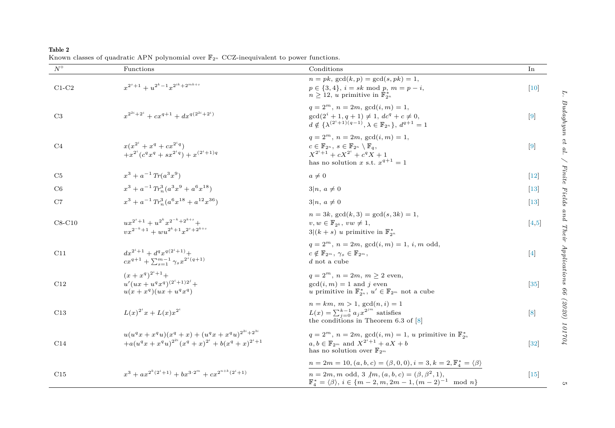<span id="page-4-0"></span>Table 2 Known classes of quadratic APN polynomial over F<sup>2</sup>*<sup>n</sup>* CCZ-inequivalent to power functions.

| $N^{\circ}$    | Functions                                                                                                                                         | Conditions                                                                                                                                                                                             | In               |
|----------------|---------------------------------------------------------------------------------------------------------------------------------------------------|--------------------------------------------------------------------------------------------------------------------------------------------------------------------------------------------------------|------------------|
| $C1-C2$        | $x^{2^s+1} + u^{2^k-1}x^{2^{ik}+2^{mk+s}}$                                                                                                        | $n = pk$ , $gcd(k, p) = gcd(s, pk) = 1$ ,<br>$p \in \{3, 4\}, i = sk \mod p, m = p - i,$<br>$n \geq 12$ , u primitive in $\mathbb{F}_{2^n}^*$                                                          | $[10]$           |
| C3             | $x^{2^{2i}+2^i} + cx^{q+1} + dx^{q(2^{2i}+2^i)}$                                                                                                  | $q = 2^m$ , $n = 2m$ , $gcd(i, m) = 1$ ,<br>$\gcd(2^i + 1, q + 1) \neq 1, dc^q + c \neq 0,$<br>$d \notin {\{\lambda^{(2^i+1)(q-1)} , \lambda \in \mathbb{F}_{2^n}\}, d^{q+1} = 1}$                     | $\left[9\right]$ |
| C <sub>4</sub> | $x(x^{2^i}+x^q+cx^{2^iq})$<br>$+x^{2^i}(c^q x^q + s x^{2^i q}) + x^{(2^i+1)q}$                                                                    | $q = 2^m$ , $n = 2m$ , $gcd(i, m) = 1$ ,<br>$c \in \mathbb{F}_{2^n}$ , $s \in \mathbb{F}_{2^n} \setminus \mathbb{F}_a$ ,<br>$X^{2^i+1} + cX^{2^i} + c^q X + 1$<br>has no solution x s.t. $x^{q+1} = 1$ | $[9]$            |
| C5             | $x^3 + a^{-1} Tr(a^3 x^9)$                                                                                                                        | $a\neq 0$                                                                                                                                                                                              | $[12]$           |
| C6             | $x^3 + a^{-1} Tr_n^3 (a^3 x^9 + a^6 x^{18})$                                                                                                      | $3 n, a \neq 0$                                                                                                                                                                                        | $[13]$           |
| C7             | $x^3 + a^{-1} Tr_a^3 (a^6 x^{18} + a^{12} x^{36})$                                                                                                | $3 n, a \neq 0$                                                                                                                                                                                        | $[13]$           |
| $C8-C10$       | $ux^{2^s+1} + u^{2^k}x^{2^{-k}+2^{k+s}} +$<br>$vx^{2^{-k}+1} + wu^{2^{k}+1}x^{2^{s}+2^{k+s}}$                                                     | $n = 3k$ , $gcd(k, 3) = gcd(s, 3k) = 1$ ,<br>$v, w \in \mathbb{F}_{2^k}, vw \neq 1,$<br>$3 (k+s)$ u primitive in $\mathbb{F}_{2^n}^*$                                                                  | [4,5]            |
| C11            | $dx^{2^i+1} + d^q x^{q(2^i+1)} +$<br>$cx^{q+1} + \sum_{s=1}^{m-1} \gamma_s x^{2^s(q+1)}$                                                          | $q = 2^m$ , $n = 2m$ , $gcd(i, m) = 1$ , i, m odd,<br>$c \notin \mathbb{F}_{2^m}, \gamma_s \in \mathbb{F}_{2^m},$<br>$d$ not a cube                                                                    | $[4]$            |
| C12            | $(x+x^q)^{2^i+1}+$<br>$u'(ux+u^q x^q)^{(2^i+1)2^j} +$<br>$u(x+x^q)(ux+u^q x^q)$                                                                   | $q = 2^m$ , $n = 2m$ , $m > 2$ even,<br>$gcd(i, m) = 1$ and j even<br>u primitive in $\mathbb{F}_{2^n}^*$ , $u' \in \mathbb{F}_{2^m}$ not a cube                                                       | $[35]$           |
| C13            | $L(x)^{2^i}x + L(x)x^{2^i}$                                                                                                                       | $n = km, m > 1, \gcd(n, i) = 1$<br>$L(x)=\sum_{j=0}^{k-1}a_jx^{2^{jm}}$ satisfies<br>the conditions in Theorem 6.3 of $[8]$                                                                            | [8]              |
| C14            | $u(u^{q}x + x^{q}u)(x^{q} + x) + (u^{q}x + x^{q}u)^{2^{2i}+2^{3i}}$<br>$+a(u^{q}x + x^{q}u)^{2^{2i}}(x^{q} + x)^{2^{i}} + b(x^{q} + x)^{2^{i}+1}$ | $q=2^m$ , $n=2m$ , $gcd(i,m)=1$ , u primitive in $\mathbb{F}_{2^n}^*$<br>$a, b \in \mathbb{F}_{2^m}$ and $X^{2^i+1} + aX + b$<br>has no solution over $\mathbb{F}_{2^m}$                               | $[32]$           |
|                |                                                                                                                                                   | $n = 2m = 10, (a, b, c) = (\beta, 0, 0), i = 3, k = 2, \mathbb{F}_4^* = \langle \beta \rangle$                                                                                                         |                  |
| C15            | $x^3 + ax^{2^k(2^i+1)} + bx^{3 \cdot 2^m} + cx^{2^{n+k}(2^i+1)}$                                                                                  | $n = 2m, m$ odd, 3 $\langle m, (a, b, c) \rangle = (\beta, \beta^2, 1),$<br>$\mathbb{F}_4^* = \langle \beta \rangle, i \in \{m-2, m, 2m-1, (m-2)^{-1} \mod n\}$                                        | $[15]$           |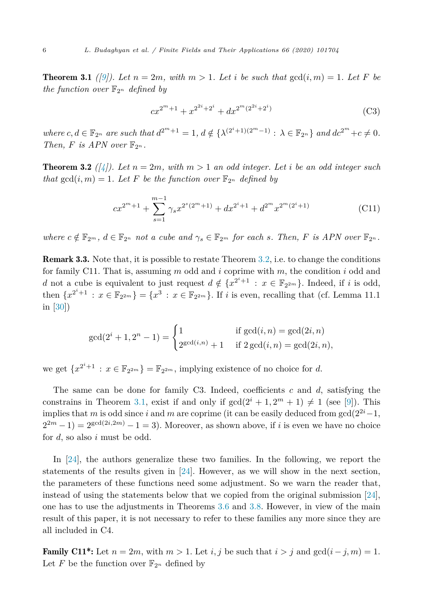<span id="page-5-0"></span>**Theorem 3.1** ([\[9](#page-19-0)]). Let  $n = 2m$ , with  $m > 1$ . Let i be such that  $gcd(i, m) = 1$ . Let F be *the function over*  $\mathbb{F}_{2^n}$  *defined by* 

$$
cx^{2^m+1} + x^{2^{2^i}+2^i} + dx^{2^m(2^{2^i}+2^i)}
$$
\n(C3)

where  $c, d \in \mathbb{F}_{2^n}$  are such that  $d^{2^m+1} = 1$ ,  $d \notin \{ \lambda^{(2^i+1)(2^m-1)} : \lambda \in \mathbb{F}_{2^n} \}$  and  $dc^{2^m} + c \neq 0$ . *Then,*  $F$  *is APN over*  $\mathbb{F}_{2^n}$ *.* 

**Theorem 3.2** ([\[4\]](#page-19-0)). Let  $n = 2m$ , with  $m > 1$  an odd integer. Let i be an odd integer such *that*  $gcd(i, m) = 1$ *. Let F be the function over*  $\mathbb{F}_{2^n}$  *defined by* 

$$
cx^{2^m+1} + \sum_{s=1}^{m-1} \gamma_s x^{2^s (2^m+1)} + dx^{2^i+1} + d^{2^m} x^{2^m (2^i+1)}
$$
(C11)

where  $c \notin \mathbb{F}_{2^m}$ ,  $d \in \mathbb{F}_{2^n}$  not a cube and  $\gamma_s \in \mathbb{F}_{2^m}$  for each s. Then, F is APN over  $\mathbb{F}_{2^n}$ .

Remark 3.3. Note that, it is possible to restate Theorem 3.2, i.e. to change the conditions for family C11. That is, assuming *m* odd and *i* coprime with *m*, the condition *i* odd and *d* not a cube is equivalent to just request  $d \notin \{x^{2^i+1} : x \in \mathbb{F}_{2^{2m}}\}$ . Indeed, if *i* is odd, then  ${x^{2^{i+1}} : x \in \mathbb{F}_{2^{2m}}} = {x^3 : x \in \mathbb{F}_{2^{2m}}}$ . If *i* is even, recalling that (cf. Lemma 11.1) in [\[30](#page-19-0)])

$$
\gcd(2^{i} + 1, 2^{n} - 1) = \begin{cases} 1 & \text{if } \gcd(i, n) = \gcd(2i, n) \\ 2^{\gcd(i, n)} + 1 & \text{if } 2 \gcd(i, n) = \gcd(2i, n), \end{cases}
$$

we get  $\{x^{2^i+1} : x \in \mathbb{F}_{2^{2m}}\} = \mathbb{F}_{2^{2m}}$ , implying existence of no choice for *d*.

The same can be done for family C3. Indeed, coefficients *c* and *d*, satisfying the constrains in Theorem 3.1, exist if and only if  $gcd(2^i + 1, 2^m + 1) \neq 1$  (see [\[9](#page-19-0)]). This implies that *m* is odd since *i* and *m* are coprime (it can be easily deduced from  $gcd(2^{2i}-1,$  $2^{2m} - 1$ ) =  $2^{\gcd(2i, 2m)} - 1 = 3$ ). Moreover, as shown above, if *i* is even we have no choice for *d*, so also *i* must be odd.

In [\[24\]](#page-19-0), the authors generalize these two families. In the following, we report the statements of the results given in [[24\]](#page-19-0). However, as we will show in the next section, the parameters of these functions need some adjustment. So we warn the reader that, instead of using the statements below that we copied from the original submission [\[24\]](#page-19-0), one has to use the adjustments in Theorems [3.6](#page-8-0) and [3.8](#page-9-0). However, in view of the main result of this paper, it is not necessary to refer to these families any more since they are all included in C4.

**Family C11\*:** Let  $n = 2m$ , with  $m > 1$ . Let *i, j* be such that  $i > j$  and  $gcd(i - j, m) = 1$ . Let F be the function over  $\mathbb{F}_{2^n}$  defined by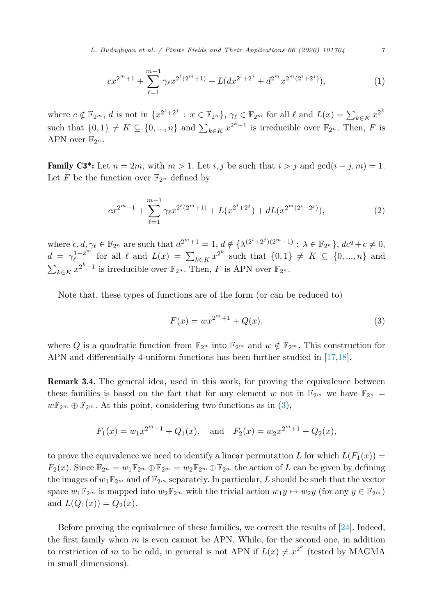<span id="page-6-0"></span>*L. Budaghyan et al. / Finite Fields and Their Applications 66 (2020) 101704* 7

$$
cx^{2^m+1} + \sum_{\ell=1}^{m-1} \gamma_{\ell} x^{2^{\ell}(2^m+1)} + L(dx^{2^i+2^j} + d^{2^m} x^{2^m(2^i+2^j)}),
$$
 (1)

where  $c \notin \mathbb{F}_{2^m}$ , *d* is not in  $\{x^{2^i+2^j} : x \in \mathbb{F}_{2^n}\}$ ,  $\gamma_\ell \in \mathbb{F}_{2^m}$  for all  $\ell$  and  $L(x) = \sum_{k \in K} x^{2^k}$ such that  $\{0,1\} \neq K \subseteq \{0,\ldots,n\}$  and  $\sum_{k \in K} x^{2^k-1}$  is irreducible over  $\mathbb{F}_{2^n}$ . Then, *F* is APN over  $\mathbb{F}_{2^n}$ .

**Family C3<sup>\*</sup>:** Let  $n = 2m$ , with  $m > 1$ . Let *i, j* be such that  $i > j$  and  $gcd(i - j, m) = 1$ . Let *F* be the function over  $\mathbb{F}_{2^n}$  defined by

$$
cx^{2^m+1} + \sum_{\ell=1}^{m-1} \gamma_{\ell} x^{2^{\ell}(2^m+1)} + L(x^{2^i+2^j}) + dL(x^{2^m(2^i+2^j)}),
$$
\n(2)

where  $c, d, \gamma_{\ell} \in \mathbb{F}_{2^n}$  are such that  $d^{2^m+1} = 1, d \notin \{ \lambda^{(2^i+2^j)(2^m-1)} : \lambda \in \mathbb{F}_{2^n} \}, d c^q + c \neq 0$ ,  $d = \gamma_{\ell}^{1-2^m}$  for all  $\ell$  and  $L(x) = \sum_{k \in K} x^{2^k}$  such that  $\{0,1\} \neq K \subseteq \{0, ..., n\}$  and  $\sum_{k \in K} x^{2^k - 1}$  is irreducible over  $\mathbb{F}_{2^n}$ . Then, *F* is APN over  $\mathbb{F}_{2^n}$ .

Note that, these types of functions are of the form (or can be reduced to)

$$
F(x) = wx^{2^m + 1} + Q(x),
$$
\n(3)

where *Q* is a quadratic function from  $\mathbb{F}_{2^n}$  into  $\mathbb{F}_{2^m}$  and  $w \notin \mathbb{F}_{2^m}$ . This construction for APN and differentially 4-uniform functions has been further studied in [[17,18](#page-19-0)].

Remark 3.4. The general idea, used in this work, for proving the equivalence between these families is based on the fact that for any element *w* not in  $\mathbb{F}_{2^m}$  we have  $\mathbb{F}_{2^n}$  $w\mathbb{F}_{2^m} \oplus \mathbb{F}_{2^m}$ . At this point, considering two functions as in (3),

$$
F_1(x) = w_1 x^{2^m+1} + Q_1(x)
$$
, and  $F_2(x) = w_2 x^{2^m+1} + Q_2(x)$ ,

to prove the equivalence we need to identify a linear permutation *L* for which  $L(F_1(x)) =$  $F_2(x)$ . Since  $\mathbb{F}_{2^n} = w_1 \mathbb{F}_{2^m} \oplus \mathbb{F}_{2^m} = w_2 \mathbb{F}_{2^m} \oplus \mathbb{F}_{2^m}$  the action of *L* can be given by defining the images of  $w_1 \mathbb{F}_{2^m}$  and of  $\mathbb{F}_{2^m}$  separately. In particular, *L* should be such that the vector space  $w_1 \mathbb{F}_{2^m}$  is mapped into  $w_2 \mathbb{F}_{2^m}$  with the trivial action  $w_1 y \mapsto w_2 y$  (for any  $y \in \mathbb{F}_{2^m}$ ) and  $L(Q_1(x)) = Q_2(x)$ .

Before proving the equivalence of these families, we correct the results of [\[24\]](#page-19-0). Indeed, the first family when *m* is even cannot be APN. While, for the second one, in addition to restriction of *m* to be odd, in general is not APN if  $L(x) \neq x^{2^k}$  (tested by MAGMA in small dimensions).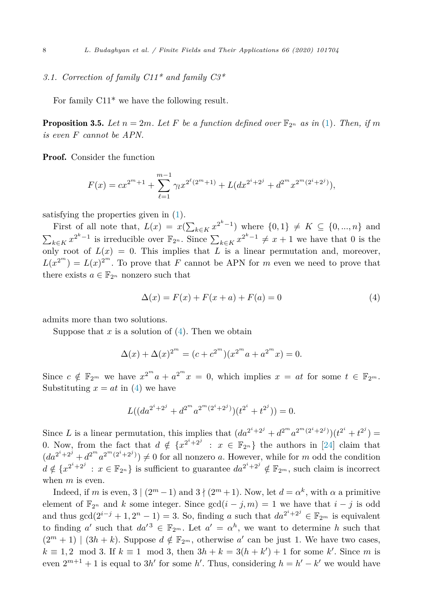## <span id="page-7-0"></span>*3.1. Correction of family C11\* and family C3\**

For family C11\* we have the following result.

**Proposition 3.5.** Let  $n = 2m$ . Let F be a function defined over  $\mathbb{F}_{2n}$  as in ([1\)](#page-6-0). Then, if m *is even F cannot be APN.*

Proof. Consider the function

$$
F(x) = cx^{2^m+1} + \sum_{\ell=1}^{m-1} \gamma_{\ell} x^{2^{\ell}(2^m+1)} + L(dx^{2^i+2^j} + d^{2^m} x^{2^m(2^i+2^j)}),
$$

satisfying the properties given in [\(1](#page-6-0)).

First of all note that,  $L(x) = x(\sum_{k \in K} x^{2^k - 1})$  where  $\{0, 1\} \neq K \subseteq \{0, ..., n\}$  and  $\sum_{k \in K} x^{2^k - 1}$  is irreducible over  $\mathbb{F}_{2^n}$ . Since  $\sum_{k \in K} x^{2^k - 1} \neq x + 1$  we have that 0 is the only root of  $L(x) = 0$ . This implies that *L* is a linear permutation and, moreover,  $L(x^{2^m}) = L(x)^{2^m}$ . To prove that *F* cannot be APN for *m* even we need to prove that there exists  $a \in \mathbb{F}_{2^n}$  nonzero such that

$$
\Delta(x) = F(x) + F(x + a) + F(a) = 0 \tag{4}
$$

admits more than two solutions.

Suppose that  $x$  is a solution of  $(4)$ . Then we obtain

$$
\Delta(x) + \Delta(x)^{2^m} = (c + c^{2^m})(x^{2^m}a + a^{2^m}x) = 0.
$$

Since  $c \notin \mathbb{F}_{2^m}$  we have  $x^{2^m}a + a^{2^m}x = 0$ , which implies  $x = at$  for some  $t \in \mathbb{F}_{2^m}$ . Substituting  $x = at$  in (4) we have

$$
L((da^{2^i+2^j} + d^{2^m}a^{2^m(2^i+2^j)})(t^{2^i} + t^{2^j})) = 0.
$$

Since *L* is a linear permutation, this implies that  $(da^{2^{i}+2^{j}} + d^{2^{m}}a^{2^{m}(2^{i}+2^{j})})(t^{2^{i}} + t^{2^{j}}) =$ 0. Now, from the fact that  $d \notin \{x^{2^i+2^j} : x \in \mathbb{F}_{2^n}\}\)$  the authors in [\[24](#page-19-0)] claim that  $(da^{2^i+2^j} + d^{2^m}a^{2^m(2^i+2^j)}) \neq 0$  for all nonzero *a*. However, while for *m* odd the condition  $d \notin \{x^{2^i+2^j} : x \in \mathbb{F}_{2^n}\}\$ is sufficient to guarantee  $da^{2^i+2^j} \notin \mathbb{F}_{2^m}$ , such claim is incorrect when *m* is even.

Indeed, if *m* is even,  $3 \mid (2^m - 1)$  and  $3 \nmid (2^m + 1)$ . Now, let  $d = \alpha^k$ , with  $\alpha$  a primitive element of  $\mathbb{F}_{2^n}$  and *k* some integer. Since  $gcd(i - j, m) = 1$  we have that  $i - j$  is odd and thus  $gcd(2^{i-j} + 1, 2^n - 1) = 3$ . So, finding *a* such that  $da^{2^i + 2^j} \in \mathbb{F}_{2^m}$  is equivalent to finding *a'* such that  $da'^3 \in \mathbb{F}_{2^m}$ . Let  $a' = \alpha^h$ , we want to determine *h* such that  $(2^m + 1) | (3h + k)$ . Suppose  $d \notin \mathbb{F}_{2^m}$ , otherwise a' can be just 1. We have two cases,  $k \equiv 1, 2 \mod 3$ . If  $k \equiv 1 \mod 3$ , then  $3h + k = 3(h + k') + 1$  for some *k*'. Since *m* is even  $2^{m+1} + 1$  is equal to 3*h'* for some *h'*. Thus, considering  $h = h' - k'$  we would have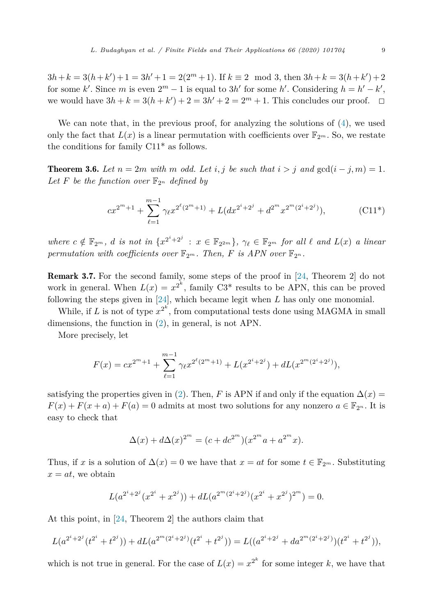<span id="page-8-0"></span> $3h + k = 3(h + k') + 1 = 3h' + 1 = 2(2<sup>m</sup> + 1)$ . If  $k \equiv 2 \mod 3$ , then  $3h + k = 3(h + k') + 2$ for some *k*'. Since *m* is even  $2^m - 1$  is equal to 3*h*' for some *h*'. Considering  $h = h' - k'$ , we would have  $3h + k = 3(h + k') + 2 = 3h' + 2 = 2<sup>m</sup> + 1$ . This concludes our proof.  $\Box$ 

We can note that, in the previous proof, for analyzing the solutions of ([4\)](#page-7-0), we used only the fact that  $L(x)$  is a linear permutation with coefficients over  $\mathbb{F}_{2^m}$ . So, we restate the conditions for family C11\* as follows.

**Theorem 3.6.** Let  $n = 2m$  with  $m$  odd. Let  $i, j$  be such that  $i > j$  and  $gcd(i - j, m) = 1$ . Let F be the function over  $\mathbb{F}_{2^n}$  defined by

$$
cx^{2^m+1} + \sum_{\ell=1}^{m-1} \gamma_{\ell} x^{2^{\ell}(2^m+1)} + L(dx^{2^i+2^j} + d^{2^m} x^{2^m(2^i+2^j)}),
$$
 (C11\*)

where  $c \notin \mathbb{F}_{2^m}$ , d is not in  $\{x^{2^i+2^j} : x \in \mathbb{F}_{2^{2m}}\}$ ,  $\gamma_{\ell} \in \mathbb{F}_{2^m}$  for all  $\ell$  and  $L(x)$  a linear *permutation* with coefficients over  $\mathbb{F}_{2^m}$ . Then, F is APN over  $\mathbb{F}_{2^n}$ .

Remark 3.7. For the second family, some steps of the proof in [\[24,](#page-19-0) Theorem 2] do not work in general. When  $L(x) = x^{2^k}$ , family C3<sup>\*</sup> results to be APN, this can be proved following the steps given in [\[24\]](#page-19-0), which became legit when *L* has only one monomial.

While, if *L* is not of type  $x^{2^k}$ , from computational tests done using MAGMA in small dimensions, the function in [\(2](#page-6-0)), in general, is not APN.

More precisely, let

$$
F(x) = cx^{2^m+1} + \sum_{\ell=1}^{m-1} \gamma_{\ell} x^{2^{\ell}(2^m+1)} + L(x^{2^i+2^j}) + dL(x^{2^m(2^i+2^j)}),
$$

satisfying the properties given in [\(2](#page-6-0)). Then, *F* is APN if and only if the equation  $\Delta(x)$  $F(x) + F(x + a) + F(a) = 0$  admits at most two solutions for any nonzero  $a \in \mathbb{F}_{2^n}$ . It is easy to check that

$$
\Delta(x) + d\Delta(x)^{2^m} = (c + dc^{2^m})(x^{2^m}a + a^{2^m}x).
$$

Thus, if *x* is a solution of  $\Delta(x) = 0$  we have that  $x = at$  for some  $t \in \mathbb{F}_{2^m}$ . Substituting  $x = at$ , we obtain

$$
L(a^{2^i+2^j}(x^{2^i}+x^{2^j}))+dL(a^{2^m(2^i+2^j)}(x^{2^i}+x^{2^j})^{2^m})=0.
$$

At this point, in [[24,](#page-19-0) Theorem 2] the authors claim that

$$
L(a^{2^i+2^j}(t^{2^i}+t^{2^j}))+dL(a^{2^m(2^i+2^j)}(t^{2^i}+t^{2^j}))=L((a^{2^i+2^j}+da^{2^m(2^i+2^j)})(t^{2^i}+t^{2^j})),
$$

which is not true in general. For the case of  $L(x) = x^{2^k}$  for some integer *k*, we have that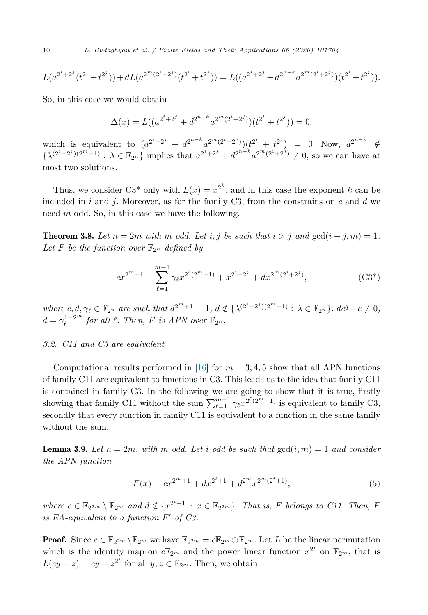<span id="page-9-0"></span>
$$
L(a^{2^i+2^j}(t^{2^i}+t^{2^j}))+dL(a^{2^m(2^i+2^j)}(t^{2^i}+t^{2^j}))=L((a^{2^i+2^j}+d^{2^{n-k}}a^{2^m(2^i+2^j)})(t^{2^i}+t^{2^j})).
$$

So, in this case we would obtain

$$
\Delta(x) = L((a^{2^i+2^j} + d^{2^{n-k}}a^{2^m(2^i+2^j)})(t^{2^i} + t^{2^j})) = 0,
$$

which is equivalent to  $(a^{2^i+2^j} + d^{2^{n-k}}a^{2^m(2^i+2^j)})(t^{2^i} + t^{2^j}) = 0$ . Now,  $d^{2^{n-k}} \notin$  $\{\lambda^{(2^i+2^j)(2^m-1)}: \lambda \in \mathbb{F}_{2^n}\}\$ implies that  $a^{2^i+2^j} + d^{2^{n-k}} a^{2^m(2^i+2^j)} \neq 0$ , so we can have at most two solutions.

Thus, we consider C3<sup>\*</sup> only with  $L(x) = x^{2^k}$ , and in this case the exponent *k* can be included in *i* and *j*. Moreover, as for the family C3, from the constrains on *c* and *d* we need *m* odd. So, in this case we have the following.

**Theorem 3.8.** *Let*  $n = 2m$  *with*  $m$  *odd. Let*  $i, j$  *be such that*  $i > j$  *and*  $gcd(i - j, m) = 1$ *.* Let F be the function over  $\mathbb{F}_{2^n}$  defined by

$$
cx^{2^m+1} + \sum_{\ell=1}^{m-1} \gamma_{\ell} x^{2^{\ell}(2^m+1)} + x^{2^i+2^j} + dx^{2^m(2^i+2^j)},
$$
 (C3\*)

where  $c, d, \gamma_{\ell} \in \mathbb{F}_{2^n}$  are such that  $d^{2^m+1} = 1$ ,  $d \notin \{ \lambda^{(2^i+2^j)(2^m-1)} : \lambda \in \mathbb{F}_{2^n} \}$ ,  $dc^q + c \neq 0$ ,  $d = \gamma_{\ell}^{1-2^m}$  for all  $\ell$ . Then,  $F$  is APN over  $\mathbb{F}_{2^n}$ .

#### *3.2. C11 and C3 are equivalent*

Computational results performed in [\[16](#page-19-0)] for  $m = 3, 4, 5$  show that all APN functions of family C11 are equivalent to functions in C3. This leads us to the idea that family C11 is contained in family C3. In the following we are going to show that it is true, firstly showing that family C11 without the sum  $\sum_{\ell=1}^{m-1} \gamma_{\ell} x^{2^{\ell}(2^m+1)}$  is equivalent to family C3, secondly that every function in family C11 is equivalent to a function in the same family without the sum.

**Lemma 3.9.** Let  $n = 2m$ , with m odd. Let *i* odd be such that  $gcd(i, m) = 1$  and consider *the APN function*

$$
F(x) = cx^{2^m+1} + dx^{2^i+1} + d^{2^m}x^{2^m(2^i+1)},
$$
\n(5)

where  $c \in \mathbb{F}_{2^{2m}} \setminus \mathbb{F}_{2^m}$  and  $d \notin \{x^{2^i+1} : x \in \mathbb{F}_{2^{2m}}\}$ . That is, F belongs to C11. Then, F  $i$  *is EA*-equivalent to a function  $F'$  of  $C3$ .

**Proof.** Since  $c \in \mathbb{F}_{2^{2m}} \setminus \mathbb{F}_{2^m}$  we have  $\mathbb{F}_{2^{2m}} = c \mathbb{F}_{2^m} \oplus \mathbb{F}_{2^m}$ . Let L be the linear permutation which is the identity map on  $c\mathbb{F}_{2^m}$  and the power linear function  $x^{2^i}$  on  $\mathbb{F}_{2^m}$ , that is  $L(cy + z) = cy + z^{2^i}$  for all  $y, z \in \mathbb{F}_{2^m}$ . Then, we obtain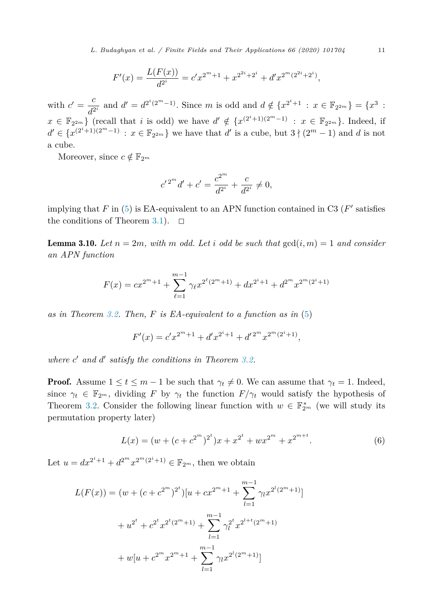<span id="page-10-0"></span>*L. Budaghyan et al. / Finite Fields and Their Applications 66 (2020) 101704* 11

$$
F'(x) = \frac{L(F(x))}{d^{2^i}} = c' x^{2^m + 1} + x^{2^{2^i} + 2^i} + d' x^{2^m (2^{2^i} + 2^i)},
$$

with  $c' = \frac{c}{d^{2i}}$  and  $d' = d^{2^i(2^m-1)}$ . Since *m* is odd and  $d \notin \{x^{2^i+1} : x \in \mathbb{F}_{2^{2m}}\} = \{x^3 : x \in \mathbb{F}_{2^{2m}}\} = \{x^3 : x \in \mathbb{F}_{2^{2m}}\} = \{x^4 : x \in \mathbb{F}_{2^{2m}}\} = \{x^5 : x \in \mathbb{F}_{2^{2m}}\} = \{x^5 : x \in \mathbb{F}_{2^{2m}}\} = \{x^6 : x \in$ *x* ∈  $\mathbb{F}_{2^{2m}}$  (recall that *i* is odd) we have  $d' \notin \{x^{(2^i+1)(2^m-1)} : x \in \mathbb{F}_{2^{2m}}\}$ . Indeed, if *d*' ∈ { $x^{(2^{i}+1)(2^{m}-1)}$  :  $x \in \mathbb{F}_{2^{2m}}$ } we have that *d*' is a cube, but  $3 \nmid (2^{m} - 1)$  and *d* is not a cube.

Moreover, since  $c \notin \mathbb{F}_{2^m}$ 

$$
{c'}^{2^m}d' + c' = \frac{c^{2^m}}{d^{2^i}} + \frac{c}{d^{2^i}} \neq 0,
$$

implying that  $F$  in ([5\)](#page-9-0) is EA-equivalent to an APN function contained in C3 ( $F'$  satisfies the conditions of Theorem [3.1\)](#page-5-0).  $\Box$ 

**Lemma 3.10.** Let  $n = 2m$ , with m odd. Let i odd be such that  $gcd(i, m) = 1$  and consider *an APN function*

$$
F(x) = cx^{2^m+1} + \sum_{\ell=1}^{m-1} \gamma_{\ell} x^{2^{\ell}(2^m+1)} + dx^{2^i+1} + d^{2^m} x^{2^m(2^i+1)}
$$

*as in Theorem [3.2](#page-5-0). Then, F is EA-equivalent to a function as in* [\(5](#page-9-0))

$$
F'(x) = c'x^{2^m+1} + d'x^{2^i+1} + d'^{2^m}x^{2^m(2^i+1)},
$$

*where c and d satisfy the conditions in Theorem [3.2.](#page-5-0)*

**Proof.** Assume  $1 \le t \le m - 1$  be such that  $\gamma_t \ne 0$ . We can assume that  $\gamma_t = 1$ . Indeed, since  $\gamma_t \in \mathbb{F}_{2^m}$ , dividing *F* by  $\gamma_t$  the function  $F/\gamma_t$  would satisfy the hypothesis of Theorem [3.2](#page-5-0). Consider the following linear function with  $w \in \mathbb{F}_{2^m}^*$  (we will study its permutation property later)

$$
L(x) = (w + (c + c^{2^{m}})^{2^{t}})x + x^{2^{t}} + wx^{2^{m}} + x^{2^{m+t}}.
$$
\n(6)

Let  $u = dx^{2^i+1} + d^{2^m}x^{2^m(2^i+1)} \in \mathbb{F}_{2^m}$ , then we obtain

$$
L(F(x)) = (w + (c + c^{2^{m}})^{2^{t}})[u + cx^{2^{m}+1} + \sum_{l=1}^{m-1} \gamma_{l}x^{2^{l}(2^{m}+1)}]
$$
  
+  $u^{2^{t}} + c^{2^{t}}x^{2^{t}(2^{m}+1)} + \sum_{l=1}^{m-1} \gamma_{l}^{2^{t}}x^{2^{l+t}(2^{m}+1)}$   
+  $w[u + c^{2^{m}}x^{2^{m}+1} + \sum_{l=1}^{m-1} \gamma_{l}x^{2^{l}(2^{m}+1)}]$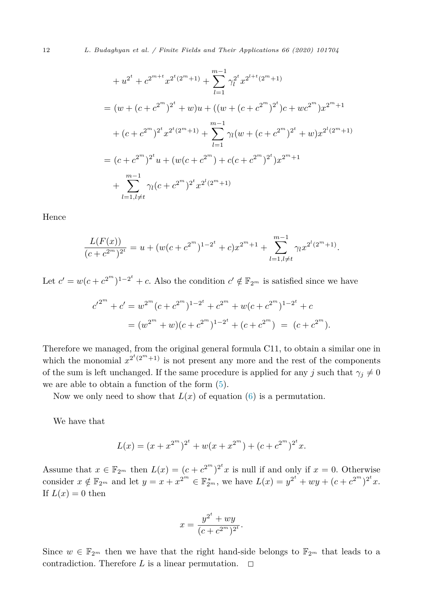$$
+u^{2^{t}} + c^{2^{m+t}}x^{2^{t}(2^{m}+1)} + \sum_{l=1}^{m-1} \gamma_{l}^{2^{t}}x^{2^{l+t}(2^{m}+1)}
$$
  
=  $(w + (c + c^{2^{m}})^{2^{t}} + w)u + ((w + (c + c^{2^{m}})^{2^{t}})c + wc^{2^{m}})x^{2^{m}+1}$   
+  $(c + c^{2^{m}})^{2^{t}}x^{2^{t}(2^{m}+1)} + \sum_{l=1}^{m-1} \gamma_{l}(w + (c + c^{2^{m}})^{2^{t}} + w)x^{2^{l}(2^{m}+1)}$   
=  $(c + c^{2^{m}})^{2^{t}}u + (w(c + c^{2^{m}}) + c(c + c^{2^{m}})^{2^{t}})x^{2^{m}+1}$   
+  $\sum_{l=1, l \neq t}^{m-1} \gamma_{l}(c + c^{2^{m}})^{2^{t}}x^{2^{l}(2^{m}+1)}$ 

Hence

$$
\frac{L(F(x))}{(c+c^{2^m})^{2^t}} = u + (w(c+c^{2^m})^{1-2^t} + c)x^{2^m+1} + \sum_{l=1, l \neq t}^{m-1} \gamma_l x^{2^l(2^m+1)}.
$$

Let  $c' = w(c + c^{2^m})^{1-2^t} + c$ . Also the condition  $c' \notin \mathbb{F}_{2^m}$  is satisfied since we have

$$
c'^{2^m} + c' = w^{2^m} (c + c^{2^m})^{1 - 2^t} + c^{2^m} + w(c + c^{2^m})^{1 - 2^t} + c
$$
  
= 
$$
(w^{2^m} + w)(c + c^{2^m})^{1 - 2^t} + (c + c^{2^m}) = (c + c^{2^m}).
$$

Therefore we managed, from the original general formula C11, to obtain a similar one in which the monomial  $x^{2^t(2^m+1)}$  is not present any more and the rest of the components of the sum is left unchanged. If the same procedure is applied for any *j* such that  $\gamma_j \neq 0$ we are able to obtain a function of the form [\(5](#page-9-0)).

Now we only need to show that  $L(x)$  of equation ([6\)](#page-10-0) is a permutation.

We have that

$$
L(x) = (x + x^{2^m})^{2^t} + w(x + x^{2^m}) + (c + c^{2^m})^{2^t}x.
$$

Assume that  $x \in \mathbb{F}_{2^m}$  then  $L(x) = (c + c^{2^m})^{2^t} x$  is null if and only if  $x = 0$ . Otherwise consider  $x \notin \mathbb{F}_{2^m}$  and let  $y = x + x^{2^m} \in \mathbb{F}_{2^m}^*$ , we have  $L(x) = y^{2^t} + wy + (c + c^{2^m})^{2^t}x$ . If  $L(x) = 0$  then

$$
x = \frac{y^{2^t} + wy}{(c + c^{2^m})^{2^t}}.
$$

Since  $w \in \mathbb{F}_{2^m}$  then we have that the right hand-side belongs to  $\mathbb{F}_{2^m}$  that leads to a contradiction. Therefore  $L$  is a linear permutation.  $\Box$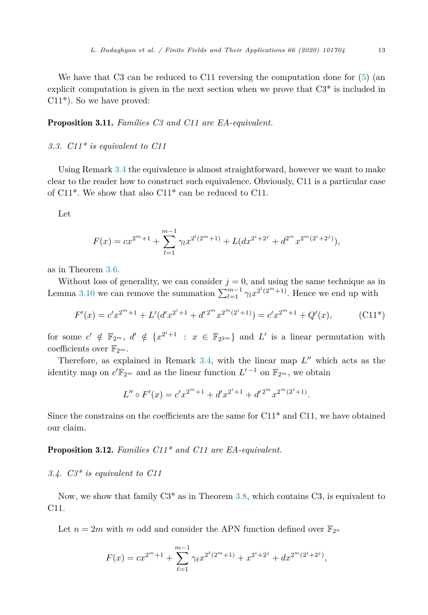<span id="page-12-0"></span>We have that C3 can be reduced to C11 reversing the computation done for  $(5)$  $(5)$  (an explicit computation is given in the next section when we prove that C3\* is included in C11\*). So we have proved:

Proposition 3.11. *Families C3 and C11 are EA-equivalent.*

#### *3.3. C11\* is equivalent to C11*

Using Remark [3.4](#page-6-0) the equivalence is almost straightforward, however we want to make clear to the reader how to construct such equivalence. Obviously, C11 is a particular case of C11\*. We show that also C11\* can be reduced to C11.

Let

$$
F(x) = cx^{2^m+1} + \sum_{l=1}^{m-1} \gamma_l x^{2^l (2^m+1)} + L(dx^{2^i+2^j} + d^{2^m} x^{2^m (2^i+2^j)}),
$$

as in Theorem [3.6](#page-8-0).

Without loss of generality, we can consider  $j = 0$ , and using the same technique as in Lemma [3.10](#page-10-0) we can remove the summation  $\sum_{l=1}^{m-1} \gamma_l x^{2^l (2^m + 1)}$ . Hence we end up with

$$
F'(x) = c'x^{2^m+1} + L'(d'x^{2^i+1} + d'^{2^m}x^{2^m(2^i+1)}) = c'x^{2^m+1} + Q'(x),
$$
 (C11\*)

for some  $c' \notin \mathbb{F}_{2^m}$ ,  $d' \notin \{x^{2^i+1} : x \in \mathbb{F}_{2^{2^m}}\}$  and  $L'$  is a linear permutation with coefficients over  $\mathbb{F}_{2^m}$ .

Therefore, as explained in Remark [3.4](#page-6-0), with the linear map  $L''$  which acts as the identity map on  $c' \mathbb{F}_{2^m}$  and as the linear function  $L'^{-1}$  on  $\mathbb{F}_{2^m}$ , we obtain

$$
L'' \circ F'(x) = c' x^{2^m+1} + d' x^{2^i+1} + d'^{2^m} x^{2^m (2^i+1)}.
$$

Since the constrains on the coefficients are the same for  $C11*$  and  $C11$ , we have obtained our claim.

### Proposition 3.12. *Families C11\* and C11 are EA-equivalent.*

#### *3.4. C3\* is equivalent to C11*

Now, we show that family C3\* as in Theorem [3.8](#page-9-0), which contains C3, is equivalent to C11.

Let  $n = 2m$  with *m* odd and consider the APN function defined over  $\mathbb{F}_{2^n}$ 

$$
F(x) = cx^{2^m+1} + \sum_{\ell=1}^{m-1} \gamma_{\ell} x^{2^{\ell}(2^m+1)} + x^{2^i+2^j} + dx^{2^m(2^i+2^j)},
$$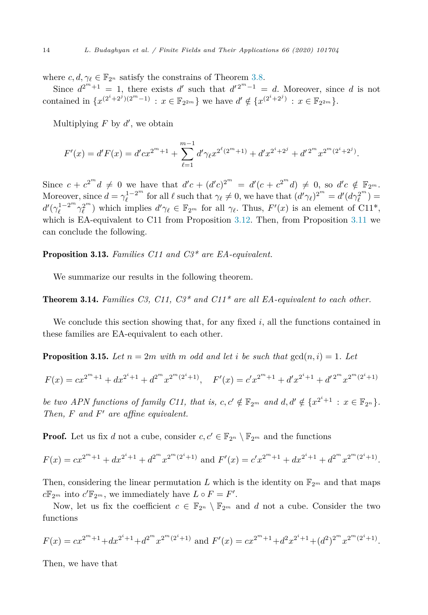where  $c, d, \gamma_{\ell} \in \mathbb{F}_{2^n}$  satisfy the constrains of Theorem [3.8](#page-9-0).

Since  $d^{2^m+1} = 1$ , there exists  $d'$  such that  $d^{2^m-1} = d$ . Moreover, since *d* is not contained in  $\{x^{(2^i+2^j)(2^m-1)} : x \in \mathbb{F}_{2^{2m}}\}$  we have  $d' \notin \{x^{(2^i+2^j)} : x \in \mathbb{F}_{2^{2m}}\}.$ 

Multiplying *F* by *d* , we obtain

$$
F'(x) = d'F(x) = d'cx^{2^m+1} + \sum_{\ell=1}^{m-1} d'\gamma_{\ell}x^{2^{\ell}(2^m+1)} + d'x^{2^i+2^j} + d'^{2^m}x^{2^m(2^i+2^j)}.
$$

Since  $c + c^{2^m}d \neq 0$  we have that  $d'c + (d'c)^{2^m} = d'(c + c^{2^m}d) \neq 0$ , so  $d'c \notin \mathbb{F}_{2^m}$ . Moreover, since  $d = \gamma_{\ell}^{1-2^m}$  for all  $\ell$  such that  $\gamma_{\ell} \neq 0$ , we have that  $(d'\gamma_{\ell})^{2^m} = d'(d\gamma_{\ell}^{2^m}) =$  $d'(\gamma_{\ell}^{1-2^{m}}\gamma_{\ell}^{2^{m}})$  which implies  $d'\gamma_{\ell} \in \mathbb{F}_{2^{m}}$  for all  $\gamma_{\ell}$ . Thus,  $F'(x)$  is an element of C11<sup>\*</sup>, which is EA-equivalent to C11 from Proposition [3.12](#page-12-0). Then, from Proposition [3.11](#page-12-0) we can conclude the following.

Proposition 3.13. *Families C11 and C3\* are EA-equivalent.*

We summarize our results in the following theorem.

Theorem 3.14. *Families C3, C11, C3\* and C11\* are all EA-equivalent to each other.*

We conclude this section showing that, for any fixed *i*, all the functions contained in these families are EA-equivalent to each other.

**Proposition 3.15.** Let  $n = 2m$  with m odd and let *i* be such that  $gcd(n, i) = 1$ . Let

$$
F(x) = cx^{2^m+1} + dx^{2^i+1} + d^{2^m}x^{2^m(2^i+1)}, \quad F'(x) = c'x^{2^m+1} + d'x^{2^i+1} + d'^{2^m}x^{2^m(2^i+1)}
$$

be two APN functions of family C11, that is, c,  $c' \notin \mathbb{F}_{2^m}$  and  $d, d' \notin \{x^{2^i+1} : x \in \mathbb{F}_{2^n}\}.$ *Then, F and F are affine equivalent.*

**Proof.** Let us fix *d* not a cube, consider  $c, c' \in \mathbb{F}_{2^n} \setminus \mathbb{F}_{2^m}$  and the functions

$$
F(x) = cx^{2^m+1} + dx^{2^i+1} + d^{2^m}x^{2^m(2^i+1)}
$$
 and 
$$
F'(x) = c'x^{2^m+1} + dx^{2^i+1} + d^{2^m}x^{2^m(2^i+1)}.
$$

Then, considering the linear permutation L which is the identity on  $\mathbb{F}_{2^m}$  and that maps  $c\mathbb{F}_{2^m}$  into  $c'\mathbb{F}_{2^m}$ , we immediately have  $L \circ F = F'$ .

Now, let us fix the coefficient  $c \in \mathbb{F}_{2^n} \setminus \mathbb{F}_{2^m}$  and *d* not a cube. Consider the two functions

$$
F(x) = cx^{2^m+1} + dx^{2^i+1} + d^{2^m}x^{2^m(2^i+1)}
$$
 and 
$$
F'(x) = cx^{2^m+1} + d^2x^{2^i+1} + (d^2)^{2^m}x^{2^m(2^i+1)}.
$$

Then, we have that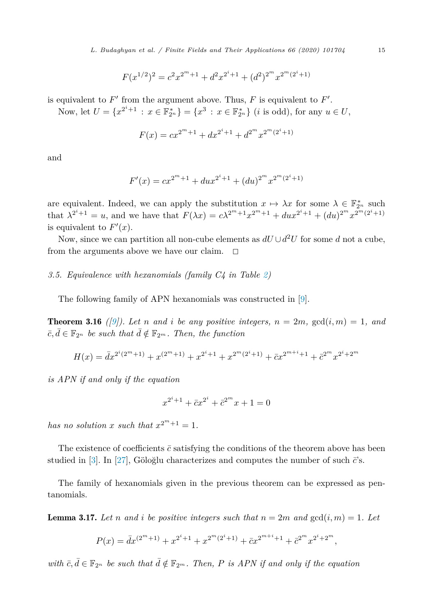<span id="page-14-0"></span>*L. Budaghyan et al. / Finite Fields and Their Applications 66 (2020) 101704* 15

$$
F(x^{1/2})^2 = c^2 x^{2^m+1} + d^2 x^{2^i+1} + (d^2)^{2^m} x^{2^m (2^i+1)}
$$

is equivalent to  $F'$  from the argument above. Thus,  $F$  is equivalent to  $F'$ .

Now, let  $U = \{x^{2^i+1} : x \in \mathbb{F}_{2^n}^*\} = \{x^3 : x \in \mathbb{F}_{2^n}^*\}$  (*i* is odd), for any  $u \in U$ ,

$$
F(x) = cx^{2^m+1} + dx^{2^i+1} + d^{2^m}x^{2^m(2^i+1)}
$$

and

$$
F'(x) = cx^{2^m+1} + du x^{2^i+1} + (du)^{2^m} x^{2^m(2^i+1)}
$$

are equivalent. Indeed, we can apply the substitution  $x \mapsto \lambda x$  for some  $\lambda \in \mathbb{F}_{2^n}^*$  such that  $\lambda^{2^i+1} = u$ , and we have that  $F(\lambda x) = c\lambda^{2^m+1}x^{2^m+1} + dux^{2^i+1} + (du)^{2^m}x^{2^m(2^i+1)}$ is equivalent to  $F'(x)$ .

Now, since we can partition all non-cube elements as  $dU \cup d^2U$  for some *d* not a cube, from the arguments above we have our claim.  $\Box$ 

*3.5. Equivalence with hexanomials (family C4 in Table [2](#page-4-0))*

The following family of APN hexanomials was constructed in [[9\]](#page-19-0).

**Theorem 3.16** ([[9\]](#page-19-0)). Let n and i be any positive integers,  $n = 2m$ ,  $gcd(i, m) = 1$ , and  $\overline{c}, \overline{d} \in \mathbb{F}_{2^n}$  *be such that*  $\overline{d} \notin \mathbb{F}_{2^m}$ *. Then, the function* 

$$
H(x) = \bar{d}x^{2^i(2^m+1)} + x^{(2^m+1)} + x^{2^i+1} + x^{2^m(2^i+1)} + \bar{c}x^{2^{m+i}+1} + \bar{c}^{2^m}x^{2^i+2^m}
$$

*is APN if and only if the equation*

$$
x^{2^i+1} + \bar{c}x^{2^i} + \bar{c}^{2^m}x + 1 = 0
$$

*has no solution x such that*  $x^{2^m+1} = 1$ .

The existence of coefficients  $\bar{c}$  satisfying the conditions of the theorem above has been studied in [[3\]](#page-19-0). In [\[27](#page-19-0)], Göloğlu characterizes and computes the number of such  $\vec{c}$ 's.

The family of hexanomials given in the previous theorem can be expressed as pentanomials.

**Lemma 3.17.** Let *n* and *i* be positive integers such that  $n = 2m$  and  $gcd(i, m) = 1$ . Let

$$
P(x) = \bar{d}x^{(2^m+1)} + x^{2^i+1} + x^{2^m(2^i+1)} + \bar{c}x^{2^{m+i}+1} + \bar{c}^{2^m}x^{2^i+2^m},
$$

with  $\bar{c}, \bar{d} \in \mathbb{F}_{2^n}$  be such that  $\bar{d} \notin \mathbb{F}_{2^m}$ . Then, P is APN if and only if the equation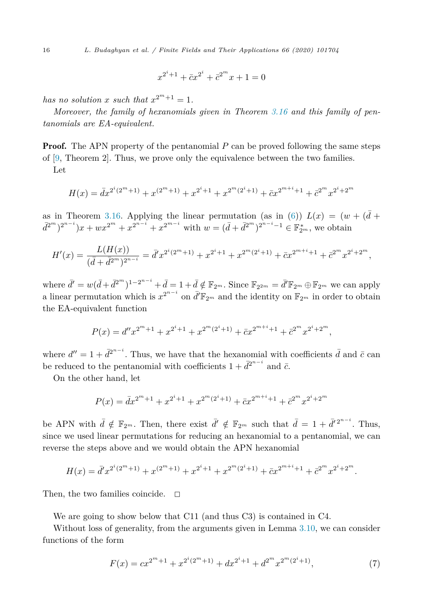$$
x^{2^i+1} + \bar{c}x^{2^i} + \bar{c}^{2^m}x + 1 = 0
$$

*has no solution x such that*  $x^{2^m+1} = 1$ *.* 

*Moreover, the family of hexanomials given in Theorem [3.16](#page-14-0) and this family of pentanomials are EA-equivalent.*

**Proof.** The APN property of the pentanomial P can be proved following the same steps of [[9,](#page-19-0) Theorem 2]. Thus, we prove only the equivalence between the two families. Let

$$
H(x) = \bar{d}x^{2^i(2^m+1)} + x^{(2^m+1)} + x^{2^i+1} + x^{2^m(2^i+1)} + \bar{c}x^{2^{m+i}+1} + \bar{c}^{2^m}x^{2^i+2^m}
$$

as in Theorem [3.16.](#page-14-0) Applying the linear permutation (as in [\(6](#page-10-0)))  $L(x) = (w + (\bar{d} +$  $(\bar{d}^{2^m})^{2^{n-i}})x + wx^{2^m} + x^{2^{n-i}} + x^{2^{m-i}}$  with  $w = (\bar{d} + \bar{d}^{2^m})^{2^{n-i}-1} \in \mathbb{F}_{2^m}^*$ , we obtain

$$
H'(x) = \frac{L(H(x))}{(\bar{d} + \bar{d}^{2^m})^{2^{n-i}}} = \bar{d}'x^{2^i(2^m+1)} + x^{2^i+1} + x^{2^m(2^i+1)} + \bar{c}x^{2^{m+i}+1} + \bar{c}^{2^m}x^{2^i+2^m},
$$

where  $\bar{d}' = w(\bar{d} + \bar{d}^{2^m})^{1-2^{n-i}} + \bar{d} = 1 + \bar{d} \notin \mathbb{F}_{2^m}$ . Since  $\mathbb{F}_{2^{2m}} = \bar{d}'\mathbb{F}_{2^m} \oplus \mathbb{F}_{2^m}$  we can apply a linear permutation which is  $x^{2^{n-i}}$  on  $\bar{d}'\mathbb{F}_{2^m}$  and the identity on  $\mathbb{F}_{2^m}$  in order to obtain the EA-equivalent function

$$
P(x) = d''x^{2^m+1} + x^{2^i+1} + x^{2^m(2^i+1)} + \bar{c}x^{2^{m+i}+1} + \bar{c}^{2^m}x^{2^i+2^m},
$$

where  $d'' = 1 + \bar{d}^{2^{n-1}}$ . Thus, we have that the hexanomial with coefficients  $\bar{d}$  and  $\bar{c}$  can be reduced to the pentanomial with coefficients  $1 + \bar{d}^{2^{n-i}}$  and  $\bar{c}$ .

On the other hand, let

$$
P(x) = dx^{2^m+1} + x^{2^i+1} + x^{2^m(2^i+1)} + \bar{c}x^{2^{m+i}+1} + \bar{c}^{2^m}x^{2^i+2^m}
$$

be APN with  $\bar{d} \notin \mathbb{F}_{2^m}$ . Then, there exist  $\bar{d}' \notin \mathbb{F}_{2^m}$  such that  $\bar{d} = 1 + \bar{d}'^{2^{n-i}}$ . Thus, since we used linear permutations for reducing an hexanomial to a pentanomial, we can reverse the steps above and we would obtain the APN hexanomial

$$
H(x) = \overline{d}'x^{2^i(2^m+1)} + x^{(2^m+1)} + x^{2^i+1} + x^{2^m(2^i+1)} + \overline{c}x^{2^{m+i}+1} + \overline{c}^{2^m}x^{2^i+2^m}.
$$

Then, the two families coincide.  $\Box$ 

We are going to show below that C11 (and thus C3) is contained in C4.

Without loss of generality, from the arguments given in Lemma [3.10](#page-10-0), we can consider functions of the form

$$
F(x) = cx^{2^m+1} + x^{2^i(2^m+1)} + dx^{2^i+1} + d^{2^m}x^{2^m(2^i+1)},
$$
\n(7)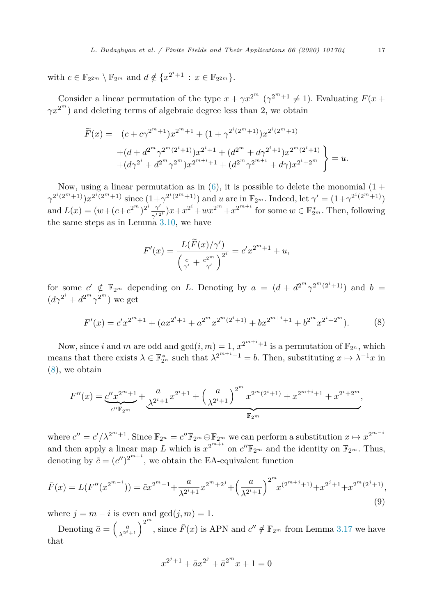<span id="page-16-0"></span>with  $c \in \mathbb{F}_{2^{2m}} \setminus \mathbb{F}_{2^m}$  and  $d \notin \{x^{2^i+1} : x \in \mathbb{F}_{2^{2m}}\}.$ 

Consider a linear permutation of the type  $x + \gamma x^{2^m}$  ( $\gamma^{2^m+1} \neq 1$ ). Evaluating  $F(x + \gamma x^{2^m})$  $\gamma x^{2^m}$ ) and deleting terms of algebraic degree less than 2, we obtain

$$
\widetilde{F}(x) = (c + c\gamma^{2^m+1})x^{2^m+1} + (1 + \gamma^{2^i(2^m+1)})x^{2^i(2^m+1)}
$$
\n
$$
+ (d + d^{2^m}\gamma^{2^m(2^i+1)})x^{2^i+1} + (d^{2^m} + d\gamma^{2^i+1})x^{2^m(2^i+1)}
$$
\n
$$
+ (d\gamma^{2^i} + d^{2^m}\gamma^{2^m})x^{2^{m+i}+1} + (d^{2^m}\gamma^{2^{m+i}} + d\gamma)x^{2^i+2^m}
$$
\n
$$
= u.
$$

Now, using a linear permutation as in  $(6)$  $(6)$ , it is possible to delete the monomial  $(1 +$  $\gamma^{2^{i}(2^{m}+1)}x^{2^{i}(2^{m}+1)}$  since  $(1+\gamma^{2^{i}(2^{m}+1)})$  and *u* are in  $\mathbb{F}_{2^{m}}$ . Indeed, let  $\gamma' = (1+\gamma^{2^{i}(2^{m}+1)})$ and  $L(x) = (w + (c + c^{2^m})^{2^i} \frac{\gamma'}{\gamma'^{2^i}})x + x^{2^i} + wx^{2^m} + x^{2^{m+i}}$  for some  $w \in \mathbb{F}_{2^m}^*$ . Then, following the same steps as in Lemma [3.10](#page-10-0), we have

$$
F'(x) = \frac{L(\widetilde{F}(x)/\gamma')}{\left(\frac{c}{\gamma'} + \frac{c^{2^m}}{\gamma'}\right)^{2^i}} = c'x^{2^m+1} + u,
$$

for some  $c' \notin \mathbb{F}_{2^m}$  depending on *L*. Denoting by  $a = (d + d^{2^m} \gamma^{2^m(2^i+1)})$  and  $b =$  $(d\gamma^{2^i} + d^{2^m}\gamma^{2^m})$  we get

$$
F'(x) = c'x^{2^m+1} + (ax^{2^i+1} + a^{2^m}x^{2^m(2^i+1)} + bx^{2^{m+i}+1} + b^{2^m}x^{2^i+2^m}).
$$
 (8)

Now, since *i* and *m* are odd and  $gcd(i, m) = 1$ ,  $x^{2^{m+i}+1}$  is a permutation of  $\mathbb{F}_{2^n}$ , which means that there exists  $\lambda \in \mathbb{F}_{2^n}^*$  such that  $\lambda^{2^{m+i}+1} = b$ . Then, substituting  $x \mapsto \lambda^{-1}x$  in (8), we obtain

$$
F''(x) = \underbrace{c''x^{2^m+1}}_{c''\mathbb{F}_{2^m}} + \underbrace{\frac{a}{\lambda^{2^i+1}}x^{2^i+1} + \left(\frac{a}{\lambda^{2^i+1}}\right)^{2^m}x^{2^m(2^i+1)} + x^{2^{m+i}+1} + x^{2^i+2^m}}_{\mathbb{F}_{2^m}},
$$

where  $c'' = c'/\lambda^{2^m+1}$ . Since  $\mathbb{F}_{2^n} = c''\mathbb{F}_{2^m} \oplus \mathbb{F}_{2^m}$  we can perform a substitution  $x \mapsto x^{2^{m-i}}$ and then apply a linear map *L* which is  $x^{2^{m+i}}$  on  $c''\mathbb{F}_{2^m}$  and the identity on  $\mathbb{F}_{2^m}$ . Thus, denoting by  $\tilde{c} = (c'')^{2^{m+i}}$ , we obtain the EA-equivalent function

$$
\bar{F}(x) = L(F''(x^{2^{m-i}})) = \tilde{c}x^{2^m+1} + \frac{a}{\lambda^{2^i+1}}x^{2^m+2^j} + \left(\frac{a}{\lambda^{2^i+1}}\right)^{2^m}x^{(2^{m+j}+1)} + x^{2^j+1} + x^{2^m(2^j+1)},\tag{9}
$$

where  $j = m - i$  is even and  $gcd(j, m) = 1$ .

Denoting  $\bar{a} = \left(\frac{a}{\lambda^{2^i+1}}\right)^{2^m}$ , since  $\bar{F}(x)$  is APN and  $c'' \notin \mathbb{F}_{2^m}$  from Lemma [3.17](#page-14-0) we have that

$$
x^{2^{j}+1} + \bar{a}x^{2^{j}} + \bar{a}^{2^{m}}x + 1 = 0
$$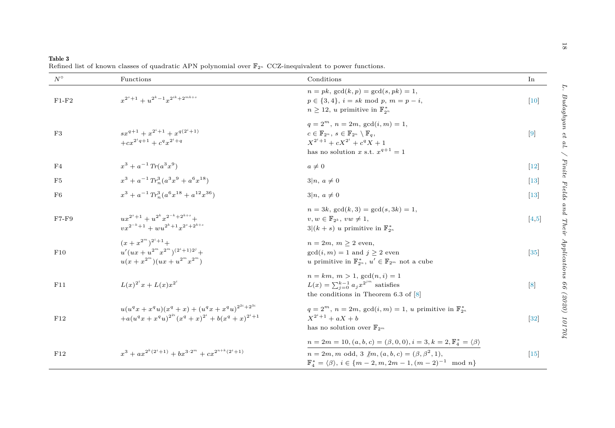<span id="page-17-0"></span>

| Table 3                                                                                                              |  |  |  |
|----------------------------------------------------------------------------------------------------------------------|--|--|--|
| Refined list of known classes of quadratic APN polynomial over $\mathbb{F}_{2^n}$ CCZ-inequivalent to power function |  |  |  |

| $N^{\circ}$    | Functions                                                                                                                                 | Conditions                                                                                                                                                                                                                                        | In     |  |
|----------------|-------------------------------------------------------------------------------------------------------------------------------------------|---------------------------------------------------------------------------------------------------------------------------------------------------------------------------------------------------------------------------------------------------|--------|--|
| $F1-F2$        | $x^{2^s+1}+u^{2^k-1}x^{2^{ik}+2^{mk+s}}$                                                                                                  | $n = pk$ , $gcd(k, p) = gcd(s, pk) = 1$ ,<br>$p \in \{3, 4\}, i = sk \mod p, m = p - i,$<br>$n \geq 12$ , u primitive in $\mathbb{F}_{2^n}^*$                                                                                                     | $[10]$ |  |
| F3             | $sx^{q+1} + x^{2^i+1} + x^{q(2^i+1)}$<br>$+cx^{2^iq+1}+c^qx^{2^i+q}$                                                                      | $q = 2^m$ , $n = 2m$ , $gcd(i, m) = 1$ ,<br>$c \in \mathbb{F}_{2^n}$ , $s \in \mathbb{F}_{2^n} \setminus \mathbb{F}_a$<br>$X^{2^i+1} + cX^{2^i} + c^q X + 1$<br>has no solution x s.t. $x^{q+1} = 1$                                              | $[9]$  |  |
| F4             | $x^3 + a^{-1} Tr(a^3 x^9)$                                                                                                                | $a\neq 0$                                                                                                                                                                                                                                         | $[12]$ |  |
| F <sub>5</sub> | $x^3 + a^{-1} Tr_n^3 (a^3 x^9 + a^6 x^{18})$                                                                                              | $3 n, a \neq 0$                                                                                                                                                                                                                                   | $[13]$ |  |
| F <sub>6</sub> | $x^3 + a^{-1} Tr_a^3 (a^6 x^{18} + a^{12} x^{36})$                                                                                        | $3 n, a \neq 0$                                                                                                                                                                                                                                   | $[13]$ |  |
| $F7-F9$        | $ux^{2^s+1} + u^{2^k}x^{2^{-k}+2^{k+s}} +$<br>$vx^{2^{-k}+1} + wu^{2^{k}+1}x^{2^{s}+2^{k+s}}$                                             | $n = 3k$ , $gcd(k, 3) = gcd(s, 3k) = 1$ ,<br>$v, w \in \mathbb{F}_{2^k}, vw \neq 1,$<br>$3 (k+s)$ u primitive in $\mathbb{F}_{2^n}^*$                                                                                                             | [4,5]  |  |
| F10            | $(x+x^{2^m})^{2^i+1}+$<br>$u'(ux+u^{2^m}x^{2^m})^{(2^i+1)2^j} +$<br>$u(x+x^{2^m})(ux+u^{2^m}x^{2^m})$                                     | $n = 2m, m \geq 2$ even,<br>$gcd(i, m) = 1$ and $j \geq 2$ even<br>u primitive in $\mathbb{F}_{2^n}^*$ , $u' \in \mathbb{F}_{2^m}$ not a cube                                                                                                     | $[35]$ |  |
| F11            | $L(x)^{2^i}x + L(x)x^{2^i}$                                                                                                               | $n = km, m > 1, \gcd(n, i) = 1$<br>$L(x) = \sum_{i=0}^{k-1} a_i x^{2^{jm}}$ satisfies<br>the conditions in Theorem 6.3 of $[8]$                                                                                                                   | [8]    |  |
| F12            | $u(u^{q}x + x^{q}u)(x^{q} + x) + (u^{q}x + x^{q}u)^{2^{2i}+2^{3i}}$<br>$+a(u^{q}x+x^{q}u)^{2^{2i}}(x^{q}+x)^{2^{i}}+b(x^{q}+x)^{2^{i}+1}$ | $q=2^m$ , $n=2m$ , $gcd(i, m) = 1$ , u primitive in $\mathbb{F}_{2^n}^*$<br>$X^{2^i+1} + aX + b$<br>has no solution over $\mathbb{F}_{2^m}$                                                                                                       | $[32]$ |  |
| F12            | $x^3 + ax^{2^k(2^i+1)} + bx^{3\cdot 2^m} + cx^{2^{n+k}(2^i+1)}$                                                                           | $n=2m=10, (a,b,c)=(\beta,0,0), i=3, k=2, \mathbb{F}_4^*=\langle \beta \rangle$<br>$n = 2m, m$ odd, 3 $\langle m, (a, b, c) \rangle = (\beta, \beta^2, 1),$<br>$\mathbb{F}_4^* = \langle \beta \rangle, i \in \{m-2, m, 2m-1, (m-2)^{-1} \mod n\}$ | $[15]$ |  |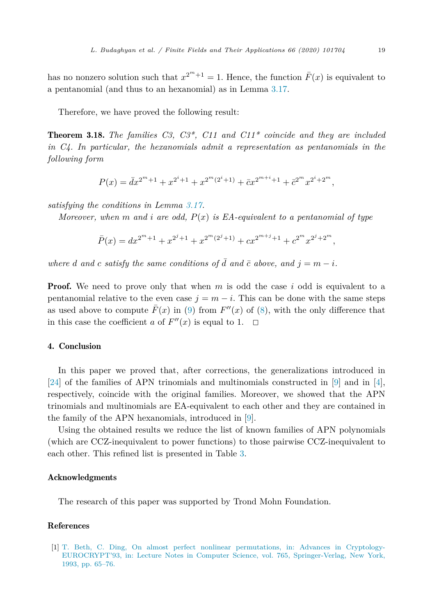<span id="page-18-0"></span>has no nonzero solution such that  $x^{2^m+1} = 1$ . Hence, the function  $\bar{F}(x)$  is equivalent to a pentanomial (and thus to an hexanomial) as in Lemma [3.17.](#page-14-0)

Therefore, we have proved the following result:

Theorem 3.18. *The families C3, C3\*, C11 and C11\* coincide and they are included in C4. In particular, the hexanomials admit a representation as pentanomials in the following form*

$$
P(x) = \bar{d}x^{2^m+1} + x^{2^i+1} + x^{2^m(2^i+1)} + \bar{c}x^{2^{m+i}+1} + \bar{c}^{2^m}x^{2^i+2^m},
$$

*satisfying the conditions in Lemma [3.17](#page-14-0).*

*Moreover, when m and i are odd, P*(*x*) *is EA-equivalent to a pentanomial of type*

$$
\bar{P}(x) = dx^{2^m+1} + x^{2^j+1} + x^{2^m(2^j+1)} + cx^{2^{m+j}+1} + c^{2^m}x^{2^j+2^m},
$$

*where d and c satisfy the same conditions of*  $\overline{d}$  *and*  $\overline{c}$  *above, and*  $j = m - i$ *.* 

**Proof.** We need to prove only that when *m* is odd the case *i* odd is equivalent to a pentanomial relative to the even case  $j = m - i$ . This can be done with the same steps as used above to compute  $\overline{F}(x)$  in [\(9](#page-16-0)) from  $F''(x)$  of [\(8](#page-16-0)), with the only difference that in this case the coefficient *a* of  $F''(x)$  is equal to 1.  $\Box$ 

# 4. Conclusion

In this paper we proved that, after corrections, the generalizations introduced in [\[24](#page-19-0)] of the families of APN trinomials and multinomials constructed in [[9\]](#page-19-0) and in [\[4](#page-19-0)], respectively, coincide with the original families. Moreover, we showed that the APN trinomials and multinomials are EA-equivalent to each other and they are contained in the family of the APN hexanomials, introduced in [\[9](#page-19-0)].

Using the obtained results we reduce the list of known families of APN polynomials (which are CCZ-inequivalent to power functions) to those pairwise CCZ-inequivalent to each other. This refined list is presented in Table [3](#page-17-0).

#### Acknowledgments

The research of this paper was supported by Trond Mohn Foundation.

#### References

[1] T. Beth, C. Ding, On almost perfect nonlinear [permutations,](http://refhub.elsevier.com/S1071-5797(20)30073-3/bib8F14E45FCEEA167A5A36DEDD4BEA2543s1) in: Advances in Cryptology-[EUROCRYPT'93,](http://refhub.elsevier.com/S1071-5797(20)30073-3/bib8F14E45FCEEA167A5A36DEDD4BEA2543s1) in: Lecture Notes in Computer Science, vol. 765, Springer-Verlag, New York, 1993, [pp. 65–76.](http://refhub.elsevier.com/S1071-5797(20)30073-3/bib8F14E45FCEEA167A5A36DEDD4BEA2543s1)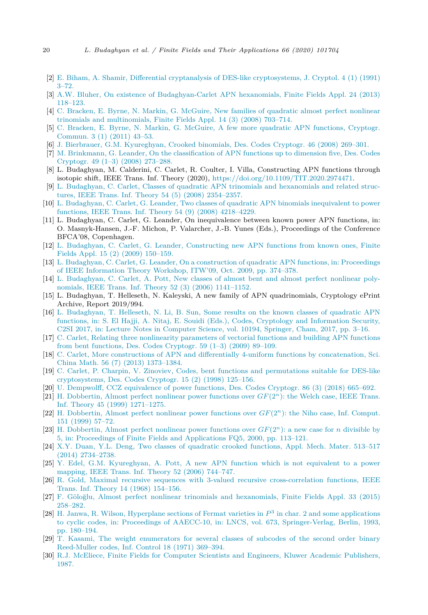- <span id="page-19-0"></span>[2] E. Biham, A. Shamir, Differential cryptanalysis of DES-like [cryptosystems,](http://refhub.elsevier.com/S1071-5797(20)30073-3/bibA9094DCE0908F5FD61AC760E4B51F380s1) J. Cryptol. 4 (1) (1991) [3–72.](http://refhub.elsevier.com/S1071-5797(20)30073-3/bibA9094DCE0908F5FD61AC760E4B51F380s1)
- [3] A.W. Bluher, On existence of [Budaghyan-Carlet](http://refhub.elsevier.com/S1071-5797(20)30073-3/bib6F2FB2D3DEF4F99053EDAB239195F146s1) APN hexanomials, Finite Fields Appl. 24 (2013) [118–123.](http://refhub.elsevier.com/S1071-5797(20)30073-3/bib6F2FB2D3DEF4F99053EDAB239195F146s1)
- [4] C. Bracken, E. Byrne, N. Markin, G. McGuire, New families of [quadratic](http://refhub.elsevier.com/S1071-5797(20)30073-3/bib7A6AC651ECBB53229CDEB2ED27ECFF3Cs1) almost perfect nonlinear trinomials and [multinomials,](http://refhub.elsevier.com/S1071-5797(20)30073-3/bib7A6AC651ECBB53229CDEB2ED27ECFF3Cs1) Finite Fields Appl. 14 (3) (2008) 703–714.
- [5] C. Bracken, E. Byrne, N. Markin, G. McGuire, A few more quadratic APN [functions,](http://refhub.elsevier.com/S1071-5797(20)30073-3/bibC51CE410C124A10E0DB5E4B97FC2AF39s1) Cryptogr. [Commun.](http://refhub.elsevier.com/S1071-5797(20)30073-3/bibC51CE410C124A10E0DB5E4B97FC2AF39s1) 3 (1) (2011) 43–53.
- [6] J. Bierbrauer, G.M. [Kyureghyan,](http://refhub.elsevier.com/S1071-5797(20)30073-3/bibBBD97B00C539801E32317AB550867EC4s1) Crooked binomials, Des. Codes Cryptogr. 46 (2008) 269–301.
- [7] M. Brinkmann, G. Leander, On the [classification](http://refhub.elsevier.com/S1071-5797(20)30073-3/bibE3AD5AF9EC44909A0843AE107C905153s1) of APN functions up to dimension five, Des. Codes [Cryptogr.](http://refhub.elsevier.com/S1071-5797(20)30073-3/bibE3AD5AF9EC44909A0843AE107C905153s1) 49 (1–3) (2008) 273–288.
- [8] L. Budaghyan, M. Calderini, C. Carlet, R. Coulter, I. Villa, Constructing APN functions through isotopic shift, IEEE Trans. Inf. Theory (2020), <https://doi.org/10.1109/TIT.2020.2974471>.
- [9] L. Budaghyan, C. Carlet, Classes of quadratic APN trinomials and [hexanomials](http://refhub.elsevier.com/S1071-5797(20)30073-3/bib0277AC7835003E611F0B6373D72B74C0s1) and related structures, IEEE Trans. Inf. Theory 54 (5) (2008) [2354–2357.](http://refhub.elsevier.com/S1071-5797(20)30073-3/bib0277AC7835003E611F0B6373D72B74C0s1)
- [10] L. Budaghyan, C. Carlet, G. Leander, Two classes of quadratic APN binomials [inequivalent](http://refhub.elsevier.com/S1071-5797(20)30073-3/bib34173CB38F07F89DDBEBC2AC9128303Fs1) to power functions, IEEE Trans. Inf. Theory 54 (9) (2008) [4218–4229.](http://refhub.elsevier.com/S1071-5797(20)30073-3/bib34173CB38F07F89DDBEBC2AC9128303Fs1)
- [11] L. Budaghyan, C. Carlet, G. Leander, On inequivalence between known power APN functions, in: O. Masnyk-Hansen, J.-F. Michon, P. Valarcher, J.-B. Yunes (Eds.), Proceedings of the Conference BFCA'08, Copenhagen.
- [12] L. Budaghyan, C. Carlet, G. Leander, [Constructing](http://refhub.elsevier.com/S1071-5797(20)30073-3/bib0186B0AE2466058BB2BC21BA9F00FD35s1) new APN functions from known ones, Finite Fields Appl. 15 (2) (2009) [150–159.](http://refhub.elsevier.com/S1071-5797(20)30073-3/bib0186B0AE2466058BB2BC21BA9F00FD35s1)
- [13] L. Budaghyan, C. Carlet, G. Leander, On a [construction](http://refhub.elsevier.com/S1071-5797(20)30073-3/bibDE9434B42A0397904CEC18D9E02CFF00s1) of quadratic APN functions, in: Proceedings of IEEE Information Theory Workshop, ITW'09, Oct. 2009, [pp. 374–378.](http://refhub.elsevier.com/S1071-5797(20)30073-3/bibDE9434B42A0397904CEC18D9E02CFF00s1)
- [14] L. [Budaghyan,](http://refhub.elsevier.com/S1071-5797(20)30073-3/bib870BDAA9DB65E784F40C7AF06D1EE31Cs1) C. Carlet, A. Pott, New classes of almost bent and almost perfect nonlinear polynomials, IEEE Trans. Inf. Theory 52 (3) (2006) [1141–1152.](http://refhub.elsevier.com/S1071-5797(20)30073-3/bib870BDAA9DB65E784F40C7AF06D1EE31Cs1)
- [15] L. Budaghyan, T. Helleseth, N. Kaleyski, A new family of APN quadrinomials, Cryptology ePrint Archive, Report 2019/994.
- [16] L. [Budaghyan,](http://refhub.elsevier.com/S1071-5797(20)30073-3/bibAD7532D5B3860A408FBE01F9455DCA36s1) T. Helleseth, N. Li, B. Sun, Some results on the known classes of quadratic APN functions, in: S. El Hajji, A. Nitaj, E. Souidi (Eds.), Codes, Cryptology and [Information](http://refhub.elsevier.com/S1071-5797(20)30073-3/bibAD7532D5B3860A408FBE01F9455DCA36s1) Security, C2SI 2017, in: Lecture Notes in Computer Science, [vol. 10194,](http://refhub.elsevier.com/S1071-5797(20)30073-3/bibAD7532D5B3860A408FBE01F9455DCA36s1) Springer, Cham, 2017, pp. 3–16.
- [17] C. Carlet, Relating three [nonlinearity](http://refhub.elsevier.com/S1071-5797(20)30073-3/bib24941EE11A52B33D4590CA8A6F7AC99Fs1) parameters of vectorial functions and building APN functions from bent [functions,](http://refhub.elsevier.com/S1071-5797(20)30073-3/bib24941EE11A52B33D4590CA8A6F7AC99Fs1) Des. Codes Cryptogr. 59 (1–3) (2009) 89–109.
- [18] C. Carlet, More constructions of APN and differentially 4-uniform functions by [concatenation,](http://refhub.elsevier.com/S1071-5797(20)30073-3/bibD2B185E288D76DF5A9984417E8536D97s1) Sci. China Math. 56 (7) (2013) [1373–1384.](http://refhub.elsevier.com/S1071-5797(20)30073-3/bibD2B185E288D76DF5A9984417E8536D97s1)
- [19] C. Carlet, P. Charpin, V. Zinoviev, Codes, bent functions and [permutations](http://refhub.elsevier.com/S1071-5797(20)30073-3/bib453DF1FD1CF2943AA5B8DD8EF4696E15s1) suitable for DES-like [cryptosystems,](http://refhub.elsevier.com/S1071-5797(20)30073-3/bib453DF1FD1CF2943AA5B8DD8EF4696E15s1) Des. Codes Cryptogr. 15 (2) (1998) 125–156.
- [20] U. Dempwolff, CCZ [equivalence](http://refhub.elsevier.com/S1071-5797(20)30073-3/bib74C73A58FA8188DC4092638905BAB0C8s1) of power functions, Des. Codes Cryptogr. 86 (3) (2018) 665–692.
- [21] H. [Dobbertin,](http://refhub.elsevier.com/S1071-5797(20)30073-3/bibD09BF41544A3365A46C9077EBB5E35C3s1) Almost perfect nonlinear power functions over *GF*(2*<sup>n</sup>*): the Welch case, IEEE Trans. Inf. Theory 45 (1999) [1271–1275.](http://refhub.elsevier.com/S1071-5797(20)30073-3/bibD09BF41544A3365A46C9077EBB5E35C3s1)
- [22] H. [Dobbertin,](http://refhub.elsevier.com/S1071-5797(20)30073-3/bibAD61AB143223EFBC24C7D2583BE69251s1) Almost perfect nonlinear power functions over *GF*(2*<sup>n</sup>*): the Niho case, Inf. Comput. 151 [\(1999\)](http://refhub.elsevier.com/S1071-5797(20)30073-3/bibAD61AB143223EFBC24C7D2583BE69251s1) 57–72.
- [23] H. [Dobbertin,](http://refhub.elsevier.com/S1071-5797(20)30073-3/bibFBD7939D674997CDB4692D34DE8633C4s1) Almost perfect nonlinear power functions over *GF*(2*<sup>n</sup>*): a new case for *n* divisible by 5, in: Proceedings of Finite Fields and [Applications](http://refhub.elsevier.com/S1071-5797(20)30073-3/bibFBD7939D674997CDB4692D34DE8633C4s1) FQ5, 2000, pp. 113–121.
- [24] X.Y. Duan, Y.L. Deng, Two classes of quadratic crooked [functions,](http://refhub.elsevier.com/S1071-5797(20)30073-3/bib2574D6DF17B717937DE799574005BB14s1) Appl. Mech. Mater. 513–517 (2014) [2734–2738.](http://refhub.elsevier.com/S1071-5797(20)30073-3/bib2574D6DF17B717937DE799574005BB14s1)
- [25] Y. Edel, G.M. [Kyureghyan,](http://refhub.elsevier.com/S1071-5797(20)30073-3/bib2294886295980ACE6BC8EDB87CEA4367s1) A. Pott, A new APN function which is not equivalent to a power [mapping,](http://refhub.elsevier.com/S1071-5797(20)30073-3/bib2294886295980ACE6BC8EDB87CEA4367s1) IEEE Trans. Inf. Theory 52 (2006) 744–747.
- [26] R. Gold, Maximal recursive sequences with 3-valued recursive [cross-correlation](http://refhub.elsevier.com/S1071-5797(20)30073-3/bib93DB85ED909C13838FF95CCFA94CEBD9s1) functions, IEEE Trans. Inf. Theory 14 (1968) [154–156.](http://refhub.elsevier.com/S1071-5797(20)30073-3/bib93DB85ED909C13838FF95CCFA94CEBD9s1)
- [27] F. Göloğlu, Almost perfect nonlinear trinomials and [hexanomials,](http://refhub.elsevier.com/S1071-5797(20)30073-3/bib14C5E98CD326A4B4F823DC11F4712BE1s1) Finite Fields Appl. 33 (2015) [258–282.](http://refhub.elsevier.com/S1071-5797(20)30073-3/bib14C5E98CD326A4B4F823DC11F4712BE1s1)
- [28] H. Janwa, R. Wilson, Hyperplane sections of Fermat varieties in *P*<sup>3</sup> in char. 2 and some [applications](http://refhub.elsevier.com/S1071-5797(20)30073-3/bibEC8956637A99787BD197EACD77ACCE5Es1) to cyclic codes, in: Proceedings of AAECC-10, in: LNCS, vol. 673, [Springer-Verlag,](http://refhub.elsevier.com/S1071-5797(20)30073-3/bibEC8956637A99787BD197EACD77ACCE5Es1) Berlin, 1993, [pp. 180–194.](http://refhub.elsevier.com/S1071-5797(20)30073-3/bibEC8956637A99787BD197EACD77ACCE5Es1)
- [29] T. Kasami, The weight [enumerators](http://refhub.elsevier.com/S1071-5797(20)30073-3/bib6974CE5AC660610B44D9B9FED0FF9548s1) for several classes of subcodes of the second order binary [Reed-Muller](http://refhub.elsevier.com/S1071-5797(20)30073-3/bib6974CE5AC660610B44D9B9FED0FF9548s1) codes, Inf. Control 18 (1971) 369–394.
- [30] R.J. McEliece, Finite Fields for Computer Scientists and Engineers, Kluwer Academic [Publishers,](http://refhub.elsevier.com/S1071-5797(20)30073-3/bib31C94A64B2C8065EF9C3D95C59056F57s1) [1987.](http://refhub.elsevier.com/S1071-5797(20)30073-3/bib31C94A64B2C8065EF9C3D95C59056F57s1)